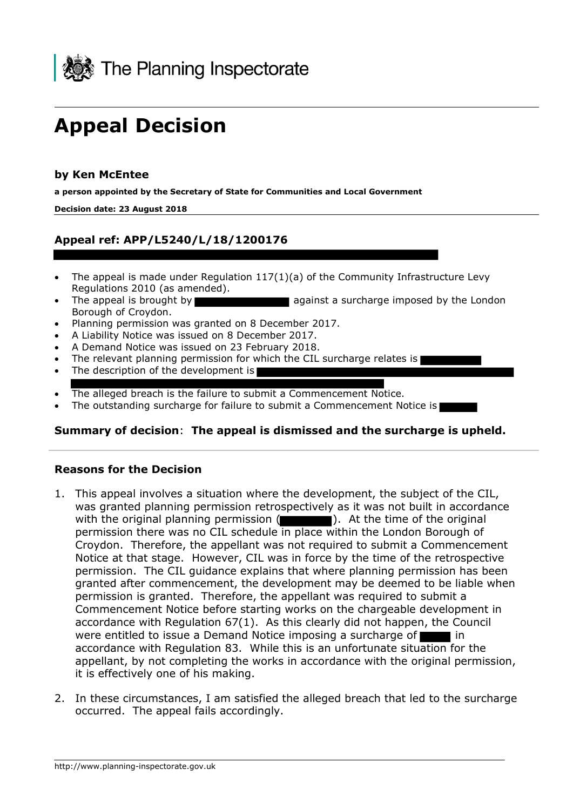

# **Appeal Decision**

#### **by Ken McEntee**

**a person appointed by the Secretary of State for Communities and Local Government**

**Decision date: 23 August 2018**

## **Appeal ref: APP/L5240/L/18/1200176**

- The appeal is made under Regulation  $117(1)(a)$  of the Community Infrastructure Levy Regulations 2010 (as amended).
- The appeal is brought by **a contract a sure against a surcharge imposed by the London** Borough of Croydon.
- Planning permission was granted on 8 December 2017.
- A Liability Notice was issued on 8 December 2017.
- A Demand Notice was issued on 23 February 2018.
- The relevant planning permission for which the CIL surcharge relates is
- The description of the development is
- The alleged breach is the failure to submit a Commencement Notice.
- The outstanding surcharge for failure to submit a Commencement Notice is

#### **Summary of decision**: **The appeal is dismissed and the surcharge is upheld.**

#### **Reasons for the Decision**

- 1. This appeal involves a situation where the development, the subject of the CIL, was granted planning permission retrospectively as it was not built in accordance with the original planning permission (**In the state of the original**). At the time of the original permission there was no CIL schedule in place within the London Borough of Croydon. Therefore, the appellant was not required to submit a Commencement Notice at that stage. However, CIL was in force by the time of the retrospective permission. The CIL guidance explains that where planning permission has been granted after commencement, the development may be deemed to be liable when permission is granted. Therefore, the appellant was required to submit a Commencement Notice before starting works on the chargeable development in accordance with Regulation 67(1). As this clearly did not happen, the Council were entitled to issue a Demand Notice imposing a surcharge of in in accordance with Regulation 83. While this is an unfortunate situation for the appellant, by not completing the works in accordance with the original permission, it is effectively one of his making.
- 2. In these circumstances, I am satisfied the alleged breach that led to the surcharge occurred. The appeal fails accordingly.